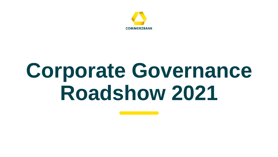

# **Corporate Governance Roadshow 2021**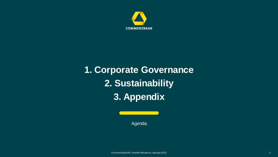

## **1. Corporate Governance 2. Sustainability 3. Appendix**

Agenda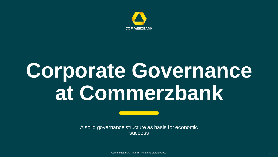

# **Corporate Governance at Commerzbank**

A solid governance structure as basis for economic success

Commerzbank AG, Investor Relations, January 2022 3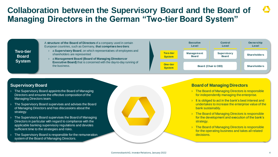### **Collaboration between the Supervisory Board and the Board of Managing Directors in the German "Two-tier Board System"**

#### **Two-tier Board System**

A **structure of the Board of Directors** of a company used in certain European countries, such as Germany, **that comprises two tiers**:

- a **Supervisory Board**, on which representatives of employees and shareholders are represented
- › a **Management Board (Board of Managing Directors or Executive Board)** that is concerned with the day-to-day running of the business. **One-tier**



#### **Supervisory Board**

- › The Supervisory Board appoints the Board of Managing Directors and ensures the effective composition of the Managing Directors team.
- › The Supervisory Board supervises and advises the Board of Managing Directors and has discussions about the strategy.
- The Supervisory Board supervises the Board of Managing Directors in particular with regard to compliance with the applicable banking supervisory regulations and devotes sufficient time to the strategies and risks.
- The Supervisory Board is responsible for the remuneration system of the Board of Managing Directors.



#### **Board of Managing Directors**

- › The Board of Managing Directors is responsible for independently managing the enterprise.
- It is obliged to act in the bank's best interest and undertakes to increase the enterprise value of the bank sustainably.
- <sup>></sup> The Board of Managing Directors is responsible for the development and execution of the bank's strategy.
- **The Board of Managing Directors is responsible** for the operating business and takes all related decisions.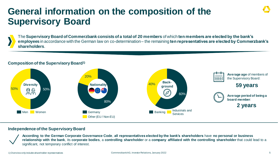## **General information on the composition of the Supervisory Board**

The **Supervisory Board of Commerzbank consists of a total of 20 members** of which **ten members are elected by the bank's employees** in accordance with the German law on co-determination – the remaining **ten representatives are elected by Commerzbank's shareholders**.

#### **Composition of the Supervisory Board1)**



#### **Independence of the Supervisory Board**

**According to the German Corporate Governance Code**, **all representatives elected by the bank's shareholders** have **no personal or business relationship with the bank**, its **corporate bodies**, a **controlling shareholder** or a **company affiliated with the controlling shareholder** that could lead to a significant, not temporary conflict of interest.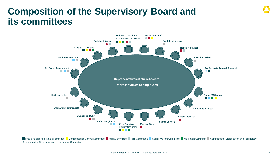## **Composition of the Supervisory Board and its committees**



Presiding and Nomination Committee La Compensation Control Committee La Audit Committee La Social Social Welfare Committee La Mediation Committee La Committee for Digitalisation and Technology **C** indicates the Chairperson of the respective Committee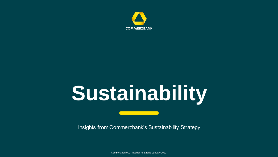

# **Sustainability**

Insights from Commerzbank's Sustainability Strategy

Commerzbank AG, Investor Relations, January 2022 7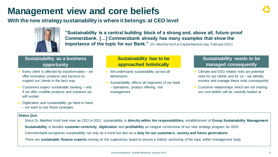## **Management view and core beliefs**

**With the new strategy sustainability is where it belongs: at CEO level** 



**"Sustainability is a central building block of a strong and, above all, future-proof Commerzbank. […] Commerzbank already has many examples that show the importance of the topic for our Bank."** (Dr. Manfred Knof at Capital Markets Day, February 2021)

#### **Sustainability as a business opportunity**

- Every client is affected by transformation we offer innovative products and services to support our clients in the best way
- Customers expect sustainable banking  $-$  only if we offer credible products and solutions we will sustain
- Digitization and sustainability go hand in hand – we want to use those synergies

#### **Status Quo**

- Since Dr. Manfred Knof took over as CEO in 2021, sustainability is **directly within his responsibilities,** establishment of **Group Sustainability Management**
- **Sustainability** is besides **customer-centricity**, **digitization** and **profitability** an integral cornerstone of our new strategy program for 2024
- Commerzbank recognizes sustainability not only as a trend but also as a **duty for our customers, society and future generations**
- There are **sustainable finance experts** serving on the supervisory board to ensure a holistic anchoring of the topic within management body

#### **Sustainability has to be approached holistically**

- We understand sustainability across all dimensions
- Sustainability affects all segments of our bank – operations, product offering, risk management

#### **Sustainability needs to be managed consequently**

- Climate and ESG related risks are potential risks for our clients and for us – we identify, monitor and manage these risks consequently
- Customer relationships which are not sharing our core beliefs will be carefully looked at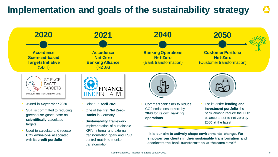## **Implementation and goals of the sustainability strategy**

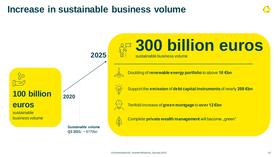## **Increase in sustainable business volume**

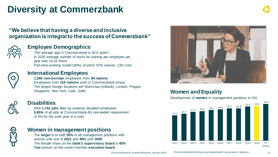## **Diversity at Commerzbank**

### **"We believe that having a diverse and inclusive organization is integral to the success of Commerzbank"**



### **Employee Demographics**

- The average age in Commerzbank is 45.6 years\*
- In 2020 average number of hours for training per employee per year was 18.18 hours
- Part-time working model (30%) of which 87% women, 13% men



#### **International Employees**

- **1,269 non-German** employees from **84 nations**
- Employees from **119 nations** work in Commerzbank Group
- The largest foreign locations are Warschau (mBank), London, Prague, Singapore, New York, Lodz, Sofia **Women and Equality**



- With **1,742 jobs** filled by severely disabled employees
- **5.65%** of all jobs at Commerzbank AG (exceeded requirement of 5% for the sixth year in a row)



#### **Women in management positions**

- The **target** is to staff **35%** of all management positions with women until end of **2021** and **40%** until **2030**
- The female share on the **bank's supervisory board** is **45%**
- **Two** women on the seven-member **executive board**



Development of **women** in management positions in (%)

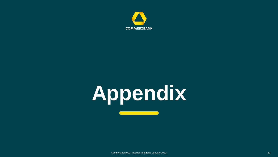

# **Appendix**

Commerzbank AG, Investor Relations, January 2022 12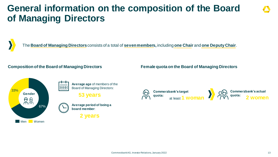## **General information on the composition of the Board of Managing Directors**

The **Board of Managing Directors** consists of a total of **seven members,** including **one Chair** and **one Deputy Chair**.

#### **Composition of the Board of Managing Directors**



**Average age** of members of the **HHH** Board of Managing Directors:

**53 years**



**2 years**

#### **Female quota on the Board of Managing Directors**

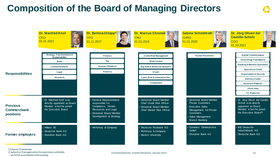## **Composition of the Board of Managing Directors**



1) Deputy Chairwoman 2) subject to final approval by the supervisory authorities and ECB accreditation is still pending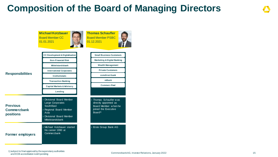## **Composition of the Board of Managing Directors**

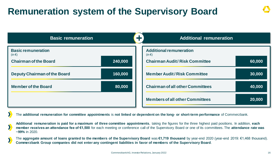## **Remuneration system of the Supervisory Board**

| كالم<br><b>Basic remuneration</b>       |         | <b>Additional remuneration</b>               |  |        |
|-----------------------------------------|---------|----------------------------------------------|--|--------|
| <b>Basic remuneration</b><br>$(in \in)$ |         | <b>Additional remuneration</b><br>$(in \in)$ |  |        |
| <b>Chairman of the Board</b>            | 240,000 | <b>Chairman Audit/ Risk Committee</b>        |  | 60,000 |
| <b>Deputy Chairman of the Board</b>     | 160,000 | <b>Member Audit/Risk Committee</b>           |  | 30,000 |
| <b>Member of the Board</b>              | 80,000  | <b>Chairman of all other Committees</b>      |  | 40,000 |
|                                         |         | <b>Members of all other Committees</b>       |  | 20,000 |

The **additional remuneration for committee appointments** is **not linked or dependent on the long- or short-term performance** of Commerzbank.

**Additional remuneration is paid for a maximum of three committee appointments**, taking the figures for the three highest paid positions. In addition, **each member receives an attendance fee of €1,500** for each meeting or conference call of the Supervisory Board or one of its committees. The **attendance rate was ~99%** in 2020.

The **aggregate amount of loans granted to the members of the Supervisory Board** was **€1,719 thousand** by year-end 2020 (year-end 2019: €1,468 thousand). **Commerzbank Group companies did not enter any contingent liabilities in favor of members of the Supervisory Board**.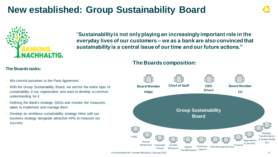## **New established: Group Sustainability Board**



"**Sustainability is not only playing an increasingly important role in the everyday lives of our customers – we as a bank are also convinced that sustainability is a central issue of our time and our future actions."**

#### **The Boards composition:**



- We commit ourselves to the Paris Agreement
- With the Group Sustainability Board, we anchor the entire topic of sustainability in our organization and want to develop a common understanding for it
- Defining the Bank's strategic SDGs and monitor the measures taken to implement and manage them
- Develop an ambitious sustainability strategy inline with our business strategy alongside attractive KPIs to measure our success

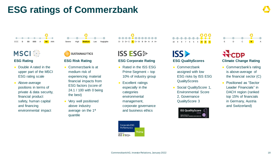## **ESG ratings of Commerzbank**



### **MSCI**

#### **ESG Rating**

- Double A rated in the upper part of the MSCI ESG rating scale
- Above-average positions in terms of private & data security, financial product safety, human capital and financing environmental impact



**Medium** Low Negligible

#### **ESG Risk Rating**

- Commerzbank is at medium risk of experiencing material financial impacts from ESG factors (score of 24.1 / 100 with 0 being the best)
- Very well positioned above industry average on the 1<sup>st</sup> quantile
- 
- **ISS ESG**

#### **ESG Corporate Rating**

- Rated in the ISS ESG Prime Segment – top 10% of industry group
- **Excellent ratings** especially in the categories environmental management, corporate governance and business ethics



## 10 9 8 7 6 5 4 **3 1**



#### **ESG QualityScores**

- Commerzbank assigned with low ESG risks by ISS ESG **QualityScores**
- Social QualityScore 1, Environmental Score 2, Governance QualityScore 3



## E D C **B** A

## **Climate Change Rating**

- Commerzbank's rating is above-average of the financial sector (C)
- Positioned as "Sector Leader Financials" in DACH region (ranked top 15% of financials in Germany, Austria and Switzerland)